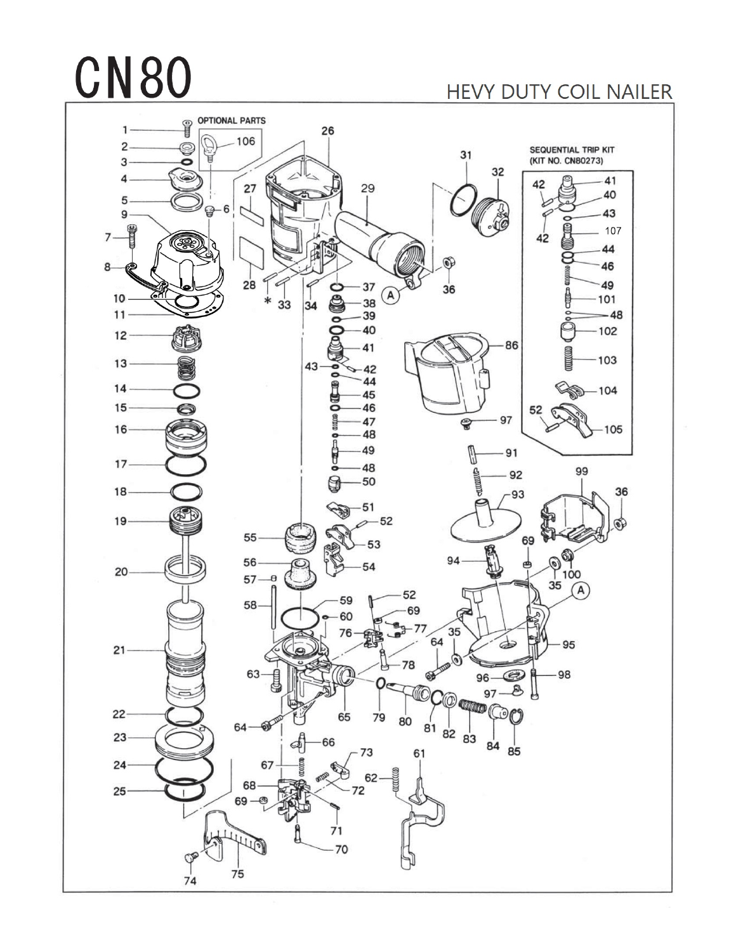## **CN80**

## HEVY DUTY COIL NAILER

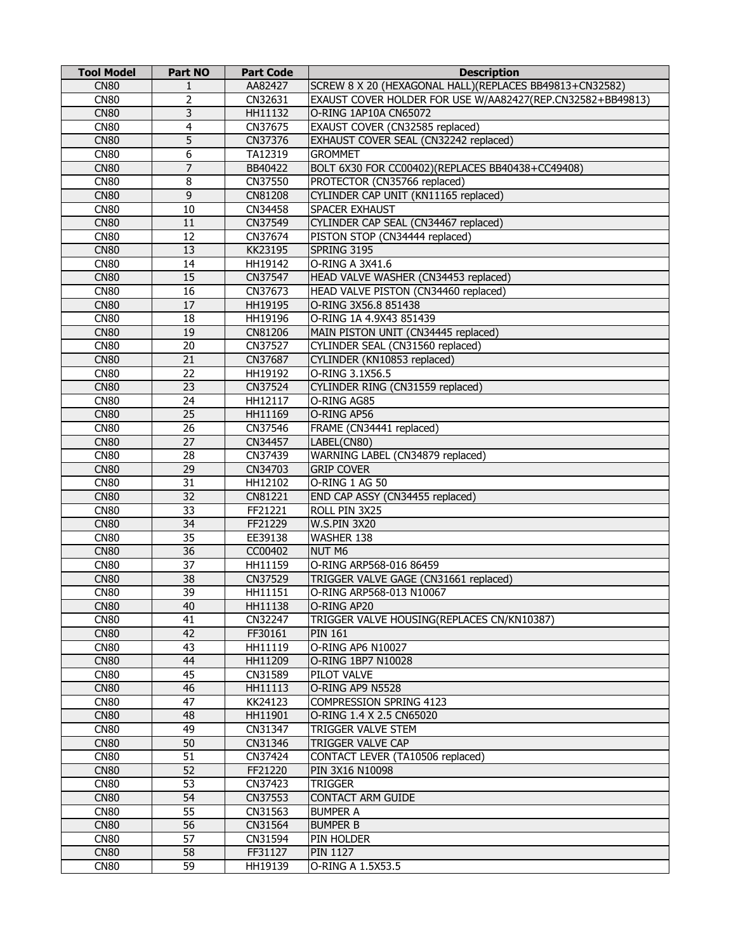| <b>Tool Model</b> | <b>Part NO</b>  | <b>Part Code</b> | <b>Description</b>                                         |
|-------------------|-----------------|------------------|------------------------------------------------------------|
| <b>CN80</b>       | 1               | AA82427          | SCREW 8 X 20 (HEXAGONAL HALL) (REPLACES BB49813+CN32582)   |
| <b>CN80</b>       | $\overline{2}$  | CN32631          | EXAUST COVER HOLDER FOR USE W/AA82427(REP.CN32582+BB49813) |
| <b>CN80</b>       | $\overline{3}$  | HH11132          | O-RING 1AP10A CN65072                                      |
| <b>CN80</b>       | 4               | CN37675          | EXAUST COVER (CN32585 replaced)                            |
| <b>CN80</b>       | $\overline{5}$  | CN37376          | EXHAUST COVER SEAL (CN32242 replaced)                      |
| <b>CN80</b>       | 6               | TA12319          | <b>GROMMET</b>                                             |
| <b>CN80</b>       | 7               | BB40422          | BOLT 6X30 FOR CC00402)(REPLACES BB40438+CC49408)           |
| <b>CN80</b>       | 8               | CN37550          | PROTECTOR (CN35766 replaced)                               |
| <b>CN80</b>       | $\overline{9}$  | CN81208          | CYLINDER CAP UNIT (KN11165 replaced)                       |
| <b>CN80</b>       | 10              | CN34458          | SPACER EXHAUST                                             |
| <b>CN80</b>       | 11              | CN37549          | CYLINDER CAP SEAL (CN34467 replaced)                       |
| <b>CN80</b>       | 12              | CN37674          | PISTON STOP (CN34444 replaced)                             |
| <b>CN80</b>       | 13              | KK23195          | SPRING 3195                                                |
| <b>CN80</b>       | 14              | HH19142          | O-RING A 3X41.6                                            |
| <b>CN80</b>       | 15              | CN37547          | HEAD VALVE WASHER (CN34453 replaced)                       |
| <b>CN80</b>       | 16              | CN37673          | HEAD VALVE PISTON (CN34460 replaced)                       |
| <b>CN80</b>       | 17              | HH19195          | O-RING 3X56.8 851438                                       |
| <b>CN80</b>       | 18              | HH19196          | O-RING 1A 4.9X43 851439                                    |
| <b>CN80</b>       | 19              | CN81206          | MAIN PISTON UNIT (CN34445 replaced)                        |
| <b>CN80</b>       | 20              | CN37527          | CYLINDER SEAL (CN31560 replaced)                           |
| <b>CN80</b>       | $\overline{21}$ | CN37687          | CYLINDER (KN10853 replaced)                                |
| <b>CN80</b>       | $\overline{22}$ | HH19192          | O-RING 3.1X56.5                                            |
| <b>CN80</b>       | $\overline{23}$ | CN37524          | CYLINDER RING (CN31559 replaced)                           |
| <b>CN80</b>       | 24              | HH12117          | O-RING AG85                                                |
| <b>CN80</b>       | 25              | HH11169          | O-RING AP56                                                |
| <b>CN80</b>       | 26              | CN37546          | FRAME (CN34441 replaced)                                   |
| <b>CN80</b>       | 27              | CN34457          | LABEL(CN80)                                                |
| <b>CN80</b>       | 28              | CN37439          | WARNING LABEL (CN34879 replaced)                           |
| <b>CN80</b>       | $\overline{29}$ | CN34703          | <b>GRIP COVER</b>                                          |
| <b>CN80</b>       | $\overline{31}$ | HH12102          | O-RING 1 AG 50                                             |
| <b>CN80</b>       | $\overline{32}$ | CN81221          | END CAP ASSY (CN34455 replaced)                            |
| <b>CN80</b>       | $\overline{33}$ | FF21221          | ROLL PIN 3X25                                              |
| <b>CN80</b>       | 34              | FF21229          | <b>W.S.PIN 3X20</b>                                        |
| <b>CN80</b>       | $\overline{35}$ | EE39138          | WASHER 138                                                 |
| <b>CN80</b>       | 36              | CC00402          | NUT M6                                                     |
| <b>CN80</b>       | 37              | HH11159          | O-RING ARP568-016 86459                                    |
| <b>CN80</b>       | 38              | CN37529          | TRIGGER VALVE GAGE (CN31661 replaced)                      |
| <b>CN80</b>       | $\overline{39}$ | HH11151          | O-RING ARP568-013 N10067                                   |
| CN <sub>80</sub>  | 40              | HH11138          | IO-RING AP20                                               |
| <b>CN80</b>       | 41              | CN32247          | TRIGGER VALVE HOUSING(REPLACES CN/KN10387)                 |
| <b>CN80</b>       | 42              | FF30161          | <b>PIN 161</b>                                             |
| <b>CN80</b>       | $\overline{43}$ | HH11119          | O-RING AP6 N10027                                          |
| <b>CN80</b>       | 44              | HH11209          | O-RING 1BP7 N10028                                         |
| <b>CN80</b>       | $\overline{45}$ | CN31589          | PILOT VALVE                                                |
| <b>CN80</b>       | 46              | HH11113          | O-RING AP9 N5528                                           |
| CN <sub>80</sub>  | 47              | KK24123          | COMPRESSION SPRING 4123                                    |
| <b>CN80</b>       | 48              | HH11901          | O-RING 1.4 X 2.5 CN65020                                   |
| CN <sub>80</sub>  | 49              | CN31347          | TRIGGER VALVE STEM                                         |
| <b>CN80</b>       | 50              | CN31346          | TRIGGER VALVE CAP                                          |
| CN <sub>80</sub>  | 51              | CN37424          | CONTACT LEVER (TA10506 replaced)                           |
| <b>CN80</b>       | $\overline{52}$ | FF21220          | PIN 3X16 N10098                                            |
| <b>CN80</b>       | $\overline{53}$ | CN37423          | <b>TRIGGER</b>                                             |
| <b>CN80</b>       | $\overline{54}$ | CN37553          | <b>CONTACT ARM GUIDE</b>                                   |
| <b>CN80</b>       | $\overline{55}$ | CN31563          | <b>BUMPER A</b>                                            |
| <b>CN80</b>       | 56              | CN31564          | <b>BUMPER B</b>                                            |
| CN <sub>80</sub>  | 57              | CN31594          | PIN HOLDER                                                 |
| <b>CN80</b>       | 58              | FF31127          | <b>PIN 1127</b>                                            |
| CN <sub>80</sub>  | 59              | HH19139          | O-RING A 1.5X53.5                                          |